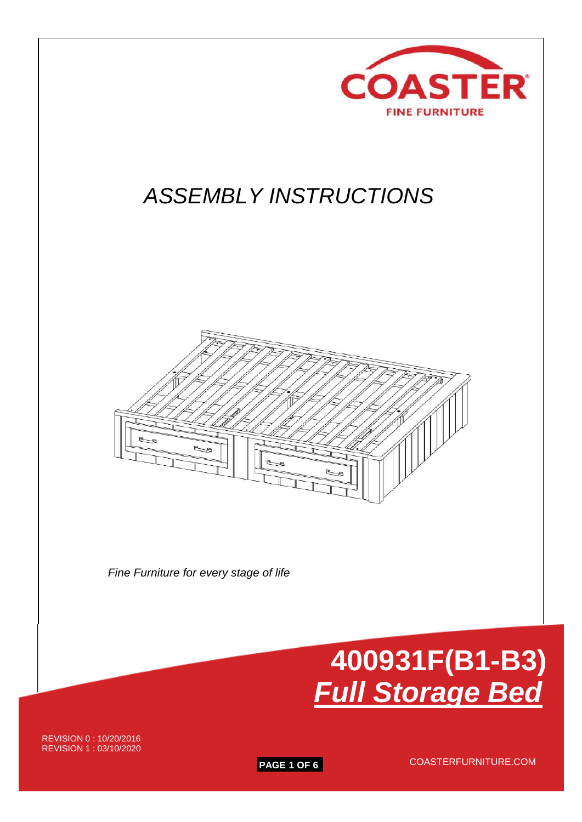

**PAGE 1 OF 6** COASTERFURNITURE.COM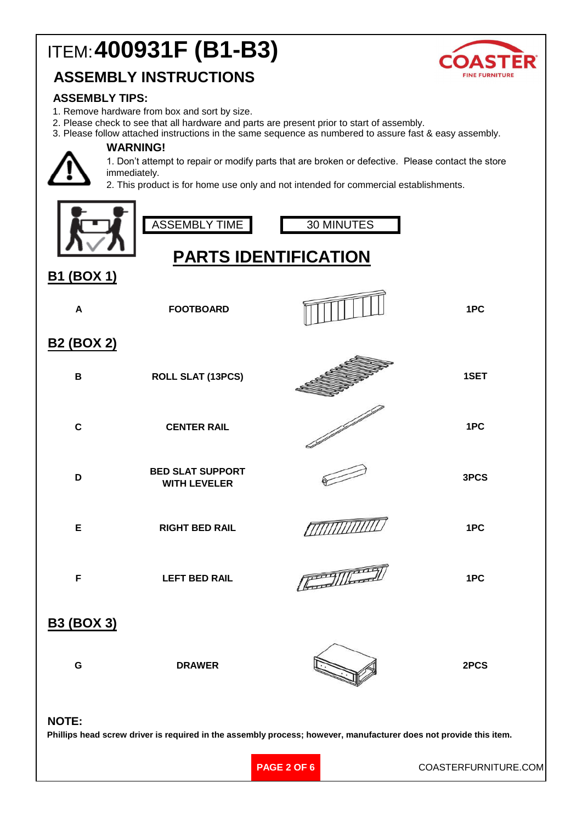# ITEM:**400931F (B1-B3)**

### **ASSEMBLY INSTRUCTIONS**



#### **ASSEMBLY TIPS:**

- 1. Remove hardware from box and sort by size.
- 2. Please check to see that all hardware and parts are present prior to start of assembly.

**WARNING!** 3. Please follow attached instructions in the same sequence as numbered to assure fast & easy assembly.



1. Don't attempt to repair or modify parts that are broken or defective. Please contact the store immediately.

2. This product is for home use only and not intended for commercial establishments.

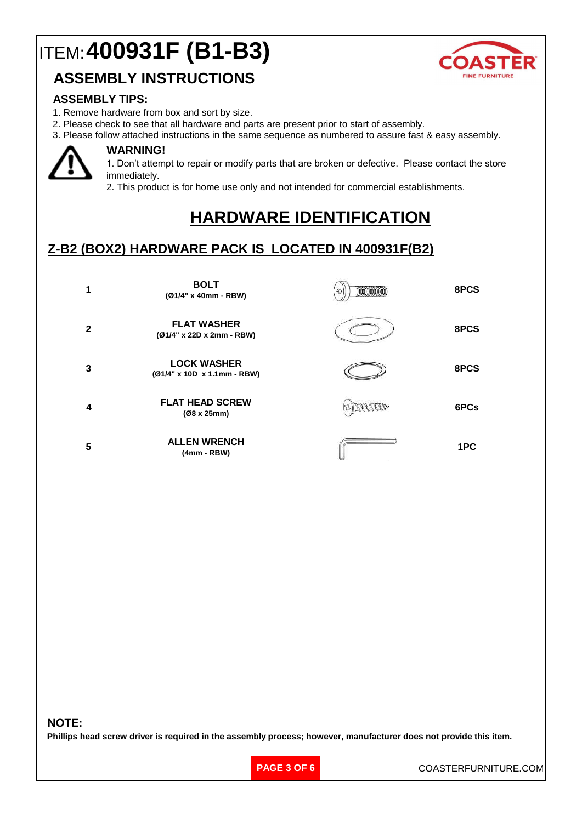## ITEM:**400931F (B1-B3)**



### **ASSEMBLY INSTRUCTIONS**

#### **ASSEMBLY TIPS:**

- 1. Remove hardware from box and sort by size.
- 2. Please check to see that all hardware and parts are present prior to start of assembly.

3. Please follow attached instructions in the same sequence as numbered to assure fast & easy assembly.



#### **WARNING!**

1. Don't attempt to repair or modify parts that are broken or defective. Please contact the store immediately.

2. This product is for home use only and not intended for commercial establishments.

## **HARDWARE IDENTIFICATION**

### **Z-B2 (BOX2) HARDWARE PACK IS LOCATED IN 400931F(B2)**

|   | <b>BOLT</b><br>(Ø1/4" x 40mm - RBW)               | 8PCS |
|---|---------------------------------------------------|------|
| 2 | <b>FLAT WASHER</b><br>(Ø1/4" x 22D x 2mm - RBW)   | 8PCS |
| 3 | <b>LOCK WASHER</b><br>(Ø1/4" x 10D x 1.1mm - RBW) | 8PCS |
| 4 | <b>FLAT HEAD SCREW</b><br>(Ø8 x 25mm)             | 6PCs |
| 5 | <b>ALLEN WRENCH</b><br>$(4mm - RBW)$              | 1PC  |

#### **NOTE:**

**Phillips head screw driver is required in the assembly process; however, manufacturer does not provide this item.**

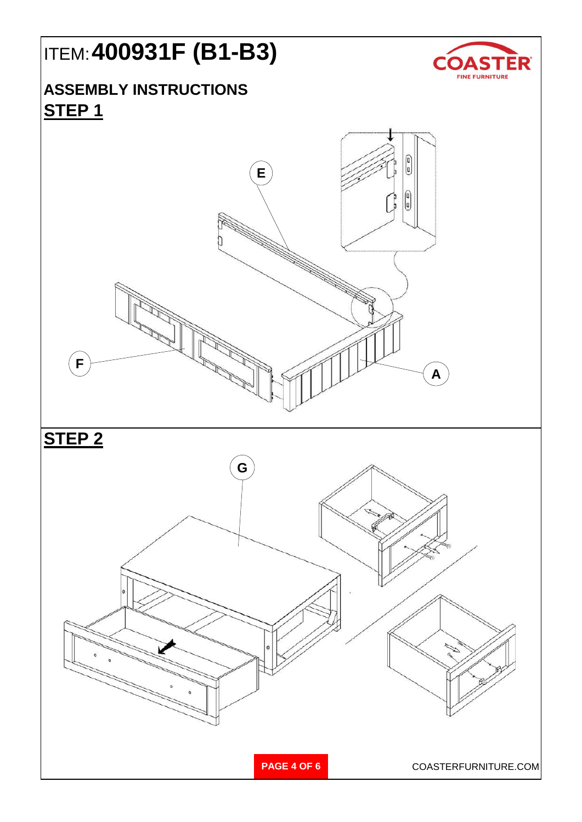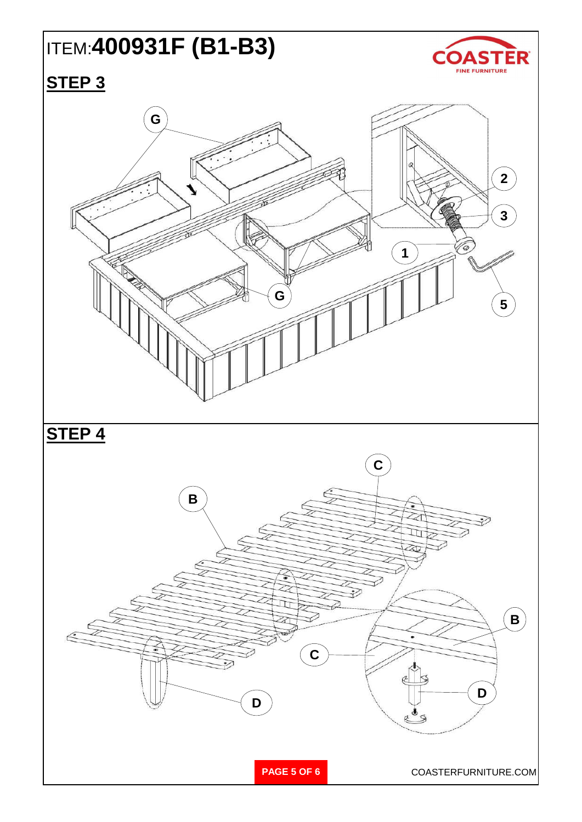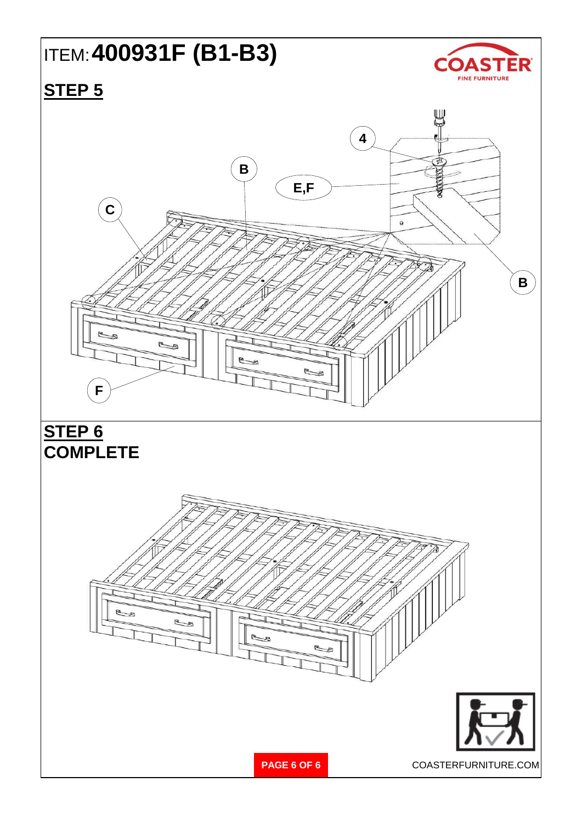## ITEM:**400931F (B1-B3)**



## **STEP 5**